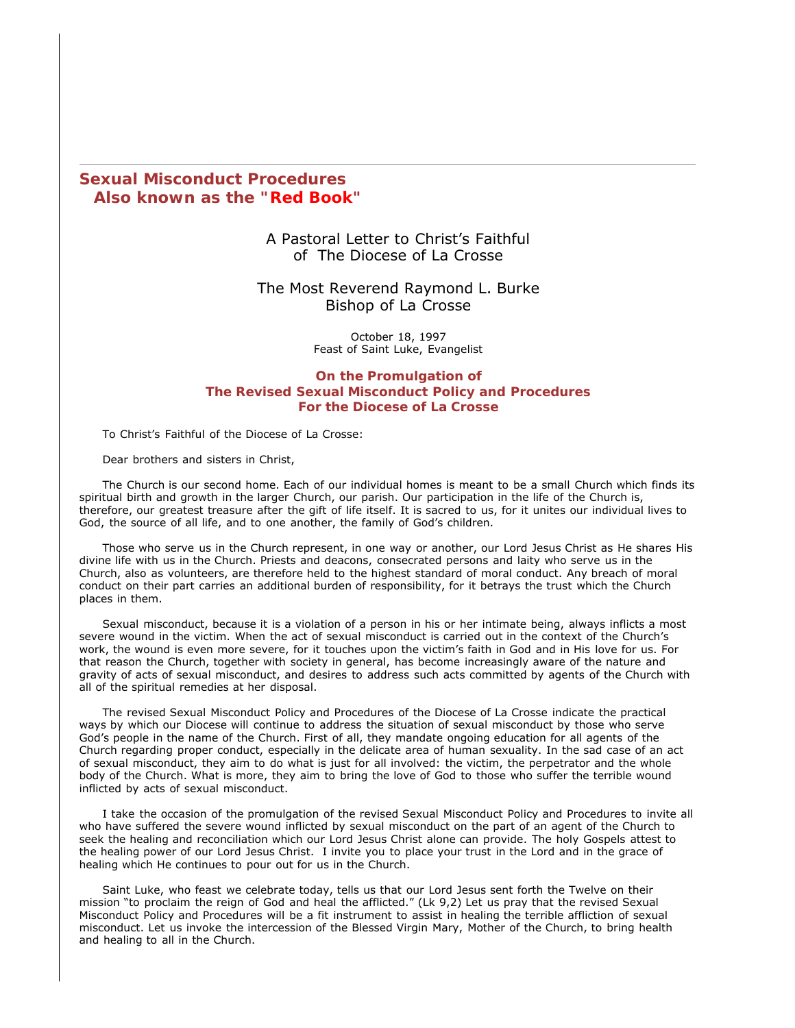## **Sexual Misconduct Procedures Also known as the "Red Book"**

### A Pastoral Letter to Christ's Faithful of The Diocese of La Crosse

#### The Most Reverend Raymond L. Burke Bishop of La Crosse

October 18, 1997 Feast of Saint Luke, Evangelist

**On the Promulgation of The Revised Sexual Misconduct Policy and Procedures For the Diocese of La Crosse**

To Christ's Faithful of the Diocese of La Crosse:

Dear brothers and sisters in Christ,

The Church is our second home. Each of our individual homes is meant to be a small Church which finds its spiritual birth and growth in the larger Church, our parish. Our participation in the life of the Church is, therefore, our greatest treasure after the gift of life itself. It is sacred to us, for it unites our individual lives to God, the source of all life, and to one another, the family of God's children.

Those who serve us in the Church represent, in one way or another, our Lord Jesus Christ as He shares His divine life with us in the Church. Priests and deacons, consecrated persons and laity who serve us in the Church, also as volunteers, are therefore held to the highest standard of moral conduct. Any breach of moral conduct on their part carries an additional burden of responsibility, for it betrays the trust which the Church places in them.

Sexual misconduct, because it is a violation of a person in his or her intimate being, always inflicts a most severe wound in the victim. When the act of sexual misconduct is carried out in the context of the Church's work, the wound is even more severe, for it touches upon the victim's faith in God and in His love for us. For that reason the Church, together with society in general, has become increasingly aware of the nature and gravity of acts of sexual misconduct, and desires to address such acts committed by agents of the Church with all of the spiritual remedies at her disposal.

The revised Sexual Misconduct Policy and Procedures of the Diocese of La Crosse indicate the practical ways by which our Diocese will continue to address the situation of sexual misconduct by those who serve God's people in the name of the Church. First of all, they mandate ongoing education for all agents of the Church regarding proper conduct, especially in the delicate area of human sexuality. In the sad case of an act of sexual misconduct, they aim to do what is just for all involved: the victim, the perpetrator and the whole body of the Church. What is more, they aim to bring the love of God to those who suffer the terrible wound inflicted by acts of sexual misconduct.

I take the occasion of the promulgation of the revised Sexual Misconduct Policy and Procedures to invite all who have suffered the severe wound inflicted by sexual misconduct on the part of an agent of the Church to seek the healing and reconciliation which our Lord Jesus Christ alone can provide. The holy Gospels attest to the healing power of our Lord Jesus Christ. I invite you to place your trust in the Lord and in the grace of healing which He continues to pour out for us in the Church.

Saint Luke, who feast we celebrate today, tells us that our Lord Jesus sent forth the Twelve on their mission "to proclaim the reign of God and heal the afflicted." (Lk 9,2) Let us pray that the revised Sexual Misconduct Policy and Procedures will be a fit instrument to assist in healing the terrible affliction of sexual misconduct. Let us invoke the intercession of the Blessed Virgin Mary, Mother of the Church, to bring health and healing to all in the Church.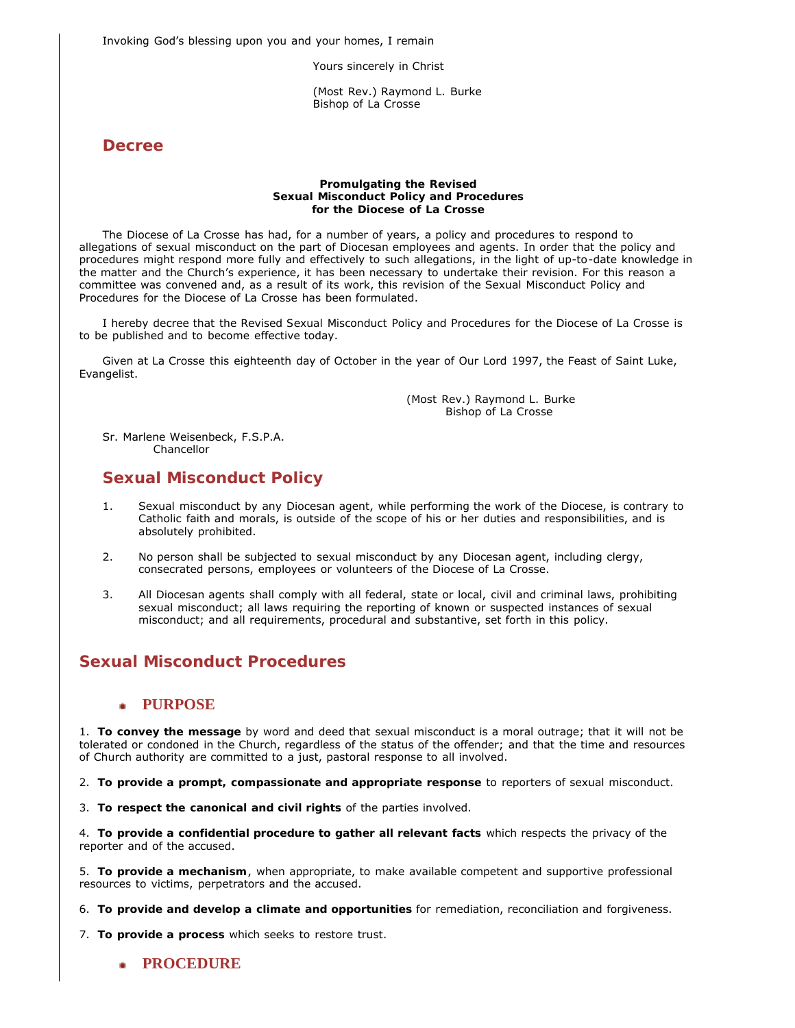Invoking God's blessing upon you and your homes, I remain

Yours sincerely in Christ

 (Most Rev.) Raymond L. Burke *Bishop of La Crosse*

**Decree**

#### **Promulgating the Revised Sexual Misconduct Policy and Procedures for the Diocese of La Crosse**

The Diocese of La Crosse has had, for a number of years, a policy and procedures to respond to allegations of sexual misconduct on the part of Diocesan employees and agents. In order that the policy and procedures might respond more fully and effectively to such allegations, in the light of up-to-date knowledge in the matter and the Church's experience, it has been necessary to undertake their revision. For this reason a committee was convened and, as a result of its work, this revision of the Sexual Misconduct Policy and Procedures for the Diocese of La Crosse has been formulated.

I hereby decree that the *Revised Sexual Misconduct Policy and Procedures for the Diocese of La Crosse* is to be published and to become effective today.

Given at La Crosse this eighteenth day of October in the year of Our Lord 1997, the Feast of Saint Luke, Evangelist.

> (Most Rev.) Raymond L. Burke *Bishop of La Crosse*

Sr. Marlene Weisenbeck, F.S.P.A. *Chancellor*

# **Sexual Misconduct Policy**

- 1. Sexual misconduct by any Diocesan agent, while performing the work of the Diocese, is contrary to Catholic faith and morals, is outside of the scope of his or her duties and responsibilities, and is absolutely prohibited.
- 2. No person shall be subjected to sexual misconduct by any Diocesan agent, including clergy, consecrated persons, employees or volunteers of the Diocese of La Crosse.
- 3. All Diocesan agents shall comply with all federal, state or local, civil and criminal laws, prohibiting sexual misconduct; all laws requiring the reporting of known or suspected instances of sexual misconduct; and all requirements, procedural and substantive, set forth in this policy.

# **Sexual Misconduct Procedures**

#### **PURPOSE** ٠

1. **To convey the message** by word and deed that sexual misconduct is a moral outrage; that it will not be tolerated or condoned in the Church, regardless of the status of the offender; and that the time and resources of Church authority are committed to a just, pastoral response to all involved.

2. **To provide a prompt, compassionate and appropriate response** to reporters of sexual misconduct.

3. **To respect the canonical and civil rights** of the parties involved.

4. **To provide a confidential procedure to gather all relevant facts** which respects the privacy of the reporter and of the accused.

5. **To provide a mechanism**, when appropriate, to make available competent and supportive professional resources to victims, perpetrators and the accused.

6. **To provide and develop a climate and opportunities** for remediation, reconciliation and forgiveness.

7. **To provide a process** which seeks to restore trust.

**PROCEDURE**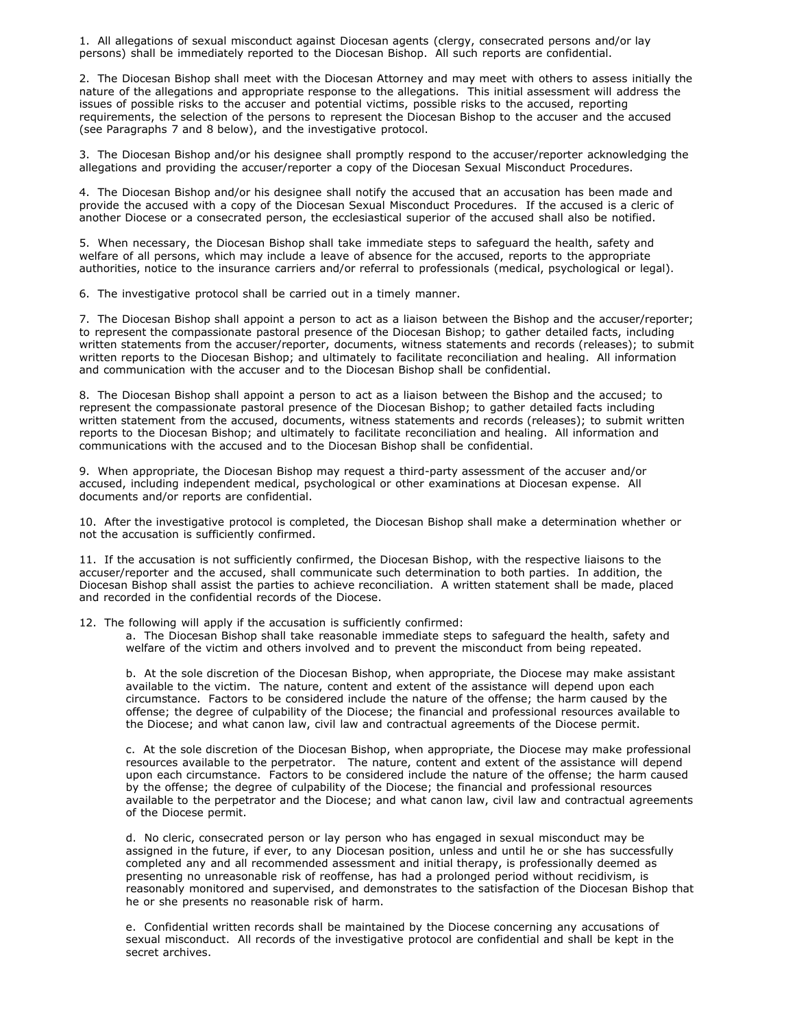1. All allegations of sexual misconduct against Diocesan agents (clergy, consecrated persons and/or lay persons) shall be immediately reported to the Diocesan Bishop. All such reports are confidential.

2. The Diocesan Bishop shall meet with the Diocesan Attorney and may meet with others to assess initially the nature of the allegations and appropriate response to the allegations. This initial assessment will address the issues of possible risks to the accuser and potential victims, possible risks to the accused, reporting requirements, the selection of the persons to represent the Diocesan Bishop to the accuser and the accused (see Paragraphs 7 and 8 below), and the investigative protocol.

3. The Diocesan Bishop and/or his designee shall promptly respond to the accuser/reporter acknowledging the allegations and providing the accuser/reporter a copy of the Diocesan Sexual Misconduct Procedures.

4. The Diocesan Bishop and/or his designee shall notify the accused that an accusation has been made and provide the accused with a copy of the Diocesan Sexual Misconduct Procedures. If the accused is a cleric of another Diocese or a consecrated person, the ecclesiastical superior of the accused shall also be notified.

5. When necessary, the Diocesan Bishop shall take immediate steps to safeguard the health, safety and welfare of all persons, which may include a leave of absence for the accused, reports to the appropriate authorities, notice to the insurance carriers and/or referral to professionals (medical, psychological or legal).

6. The investigative protocol shall be carried out in a timely manner.

7. The Diocesan Bishop shall appoint a person to act as a liaison between the Bishop and the accuser/reporter; to represent the compassionate pastoral presence of the Diocesan Bishop; to gather detailed facts, including written statements from the accuser/reporter, documents, witness statements and records (releases); to submit written reports to the Diocesan Bishop; and ultimately to facilitate reconciliation and healing. All information and communication with the accuser and to the Diocesan Bishop shall be confidential.

8. The Diocesan Bishop shall appoint a person to act as a liaison between the Bishop and the accused; to represent the compassionate pastoral presence of the Diocesan Bishop; to gather detailed facts including written statement from the accused, documents, witness statements and records (releases); to submit written reports to the Diocesan Bishop; and ultimately to facilitate reconciliation and healing. All information and communications with the accused and to the Diocesan Bishop shall be confidential.

9. When appropriate, the Diocesan Bishop may request a third-party assessment of the accuser and/or accused, including independent medical, psychological or other examinations at Diocesan expense. All documents and/or reports are confidential.

10. After the investigative protocol is completed, the Diocesan Bishop shall make a determination whether or not the accusation is sufficiently confirmed.

11. If the accusation is not sufficiently confirmed, the Diocesan Bishop, with the respective liaisons to the accuser/reporter and the accused, shall communicate such determination to both parties. In addition, the Diocesan Bishop shall assist the parties to achieve reconciliation. A written statement shall be made, placed and recorded in the confidential records of the Diocese.

12. The following will apply if the accusation is sufficiently confirmed:

a. The Diocesan Bishop shall take reasonable immediate steps to safeguard the health, safety and welfare of the victim and others involved and to prevent the misconduct from being repeated.

b. At the sole discretion of the Diocesan Bishop, when appropriate, the Diocese may make assistant available to the victim. The nature, content and extent of the assistance will depend upon each circumstance. Factors to be considered include the nature of the offense; the harm caused by the offense; the degree of culpability of the Diocese; the financial and professional resources available to the Diocese; and what canon law, civil law and contractual agreements of the Diocese permit.

c. At the sole discretion of the Diocesan Bishop, when appropriate, the Diocese may make professional resources available to the perpetrator. The nature, content and extent of the assistance will depend upon each circumstance. Factors to be considered include the nature of the offense; the harm caused by the offense; the degree of culpability of the Diocese; the financial and professional resources available to the perpetrator and the Diocese; and what canon law, civil law and contractual agreements of the Diocese permit.

d. No cleric, consecrated person or lay person who has engaged in sexual misconduct may be assigned in the future, if ever, to any Diocesan position, unless and until he or she has successfully completed any and all recommended assessment and initial therapy, is professionally deemed as presenting no unreasonable risk of reoffense, has had a prolonged period without recidivism, is reasonably monitored and supervised, and demonstrates to the satisfaction of the Diocesan Bishop that he or she presents no reasonable risk of harm.

e. Confidential written records shall be maintained by the Diocese concerning any accusations of sexual misconduct. All records of the investigative protocol are confidential and shall be kept in the secret archives.